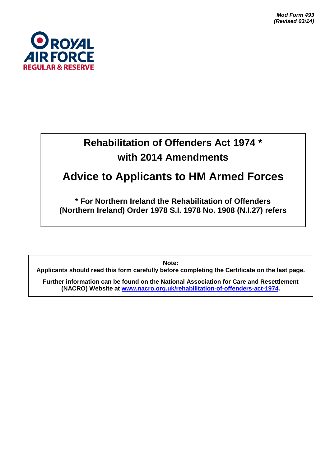*Mod Form 493 (Revised 03/14)*



# **Rehabilitation of Offenders Act 1974 \* with 2014 Amendments**

## **Advice to Applicants to HM Armed Forces**

**\* For Northern Ireland the Rehabilitation of Offenders (Northern Ireland) Order 1978 S.I. 1978 No. 1908 (N.I.27) refers**

**Note:**

**Applicants should read this form carefully before completing the Certificate on the last page.**

**Further information can be found on the National Association for Care and Resettlement (NACRO) Website at [www.nacro.org.uk/rehabilitation-of-offenders-act-1974.](http://www.nacro.org.uk/rehabilitation-of-offenders-act-1974)**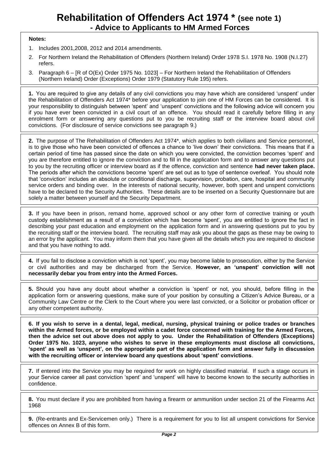## **Rehabilitation of Offenders Act 1974 \* (see note 1) - Advice to Applicants to HM Armed Forces**

#### **Notes:**

- 1. Includes 2001,2008, 2012 and 2014 amendments.
- 2. For Northern Ireland the Rehabilitation of Offenders (Northern Ireland) Order 1978 S.I. 1978 No. 1908 (N.I.27) refers.
- 3. Paragraph 6 [R of O(Ex) Order 1975 No. 1023] For Northern Ireland the Rehabilitation of Offenders (Northern Ireland) Order (Exceptions) Order 1979 (Statutory Rule 195) refers.

**1.** You are required to give any details of any civil convictions you may have which are considered 'unspent' under the Rehabilitation of Offenders Act 1974\* before your application to join one of HM Forces can be considered. It is your responsibility to distinguish between 'spent' and 'unspent' convictions and the following advice will concern you if you have ever been convicted in a civil court of an offence. You should read it carefully before filling in any enrolment form or answering any questions put to you be recruiting staff or the interview board about civil convictions. (For disclosure of service convictions see paragraph 9.)

**2.** The purpose of The Rehabilitation of Offenders Act 1974\*, which applies to both civilians and Service personnel, is to give those who have been convicted of offences a chance to 'live down' their convictions. This means that if a certain period of time has passed since the date on which you were convicted, the conviction becomes 'spent' and you are therefore entitled to ignore the conviction and to fill in the application form and to answer any questions put to you by the recruiting officer or interview board as if the offence, conviction and sentence **had never taken place.** The periods after which the convictions become 'spent' are set out as to type of sentence overleaf. You should note that 'conviction' includes an absolute or conditional discharge, supervision, probation, care, hospital and community service orders and binding over. In the interests of national security, however, both spent and unspent convictions have to be declared to the Security Authorities. These details are to be inserted on a Security Questionnaire but are solely a matter between yourself and the Security Department.

**3.** If you have been in prison, remand home, approved school or any other form of corrective training or youth custody establishment as a result of a conviction which has become 'spent', you are entitled to ignore the fact in describing your past education and employment on the application form and in answering questions put to you by the recruiting staff or the interview board. The recruiting staff may ask you about the gaps as these may be owing to an error by the applicant. You may inform them that you have given all the details which you are required to disclose and that you have nothing to add.

**4.** If you fail to disclose a conviction which is not 'spent', you may become liable to prosecution, either by the Service or civil authorities and may be discharged from the Service. **However, an 'unspent' conviction will not necessarily debar you from entry into the Armed Forces.**

**5.** Should you have any doubt about whether a conviction is 'spent' or not, you should, before filling in the application form or answering questions, make sure of your position by consulting a Citizen's Advice Bureau, or a Community Law Centre or the Clerk to the Court where you were last convicted, or a Solicitor or probation officer or any other competent authority.

**6. If you wish to serve in a dental, legal, medical, nursing, physical training or police trades or branches within the Armed forces, or be employed within a cadet force concerned with training for the Armed Forces, then the advice set out above does not apply to you. Under the Rehabilitation of Offenders (Exceptions) Order 1975 No. 1023, anyone who wishes to serve in these employments must disclose all convictions, 'spent' as well as 'unspent', on the appropriate part of the application form and answer fully in discussion with the recruiting officer or interview board any questions about 'spent' convictions**.

**7.** If entered into the Service you may be required for work on highly classified material. If such a stage occurs in your Service career all past conviction 'spent' and 'unspent' will have to become known to the security authorities in confidence.

**8.** You must declare if you are prohibited from having a firearm or ammunition under section 21 of the Firearms Act 1968

**9.** (Re-entrants and Ex-Servicemen only.) There is a requirement for you to list all unspent convictions for Service offences on Annex B of this form.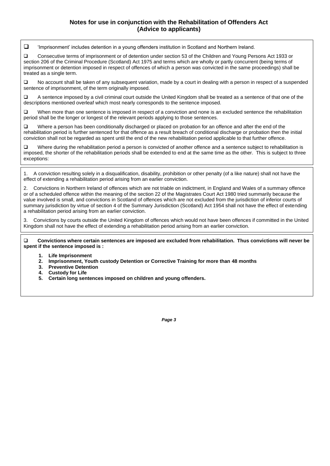#### **Notes for use in conjunction with the Rehabilitation of Offenders Act (Advice to applicants)**

'Imprisonment' includes detention in a young offenders institution in Scotland and Northern Ireland.

 Consecutive terms of imprisonment or of detention under section 53 of the Children and Young Persons Act 1933 or section 206 of the Criminal Procedure (Scotland) Act 1975 and terms which are wholly or partly concurrent (being terms of imprisonment or detention imposed in respect of offences of which a person was convicted in the same proceedings) shall be treated as a single term.

 $\square$  No account shall be taken of any subsequent variation, made by a court in dealing with a person in respect of a suspended sentence of imprisonment, of the term originally imposed.

 A sentence imposed by a civil criminal court outside the United Kingdom shall be treated as a sentence of that one of the descriptions mentioned overleaf which most nearly corresponds to the sentence imposed.

 $\square$  When more than one sentence is imposed in respect of a conviction and none is an excluded sentence the rehabilitation period shall be the longer or longest of the relevant periods applying to those sentences.

Where a person has been conditionally discharged or placed on probation for an offence and after the end of the rehabilitation period is further sentenced for that offence as a result breach of conditional discharge or probation then the initial conviction shall not be regarded as spent until the end of the new rehabilitation period applicable to that further offence.

 Where during the rehabilitation period a person is convicted of another offence and a sentence subject to rehabilitation is imposed, the shorter of the rehabilitation periods shall be extended to end at the same time as the other. This is subject to three exceptions:

1. A conviction resulting solely in a disqualification, disability, prohibition or other penalty (of a like nature) shall not have the effect of extending a rehabilitation period arising from an earlier conviction.

2. Convictions in Northern Ireland of offences which are not triable on indictment, in England and Wales of a summary offence or of a scheduled offence within the meaning of the section 22 of the Magistrates Court Act 1980 tried summarily because the value involved is small, and convictions in Scotland of offences which are not excluded from the jurisdiction of inferior courts of summary jurisdiction by virtue of section 4 of the Summary Jurisdiction (Scotland) Act 1954 shall not have the effect of extending a rehabilitation period arising from an earlier conviction.

3. Convictions by courts outside the United Kingdom of offences which would not have been offences if committed in the United Kingdom shall not have the effect of extending a rehabilitation period arising from an earlier conviction.

 **Convictions where certain sentences are imposed are excluded from rehabilitation. Thus convictions will never be spent if the sentence imposed is :**

- **1. Life Imprisonment**
- **2. Imprisonment, Youth custody Detention or Corrective Training for more than 48 months**
- **3. Preventive Detention**
- **4. Custody for Life**
- **5. Certain long sentences imposed on children and young offenders.**

*Page 3*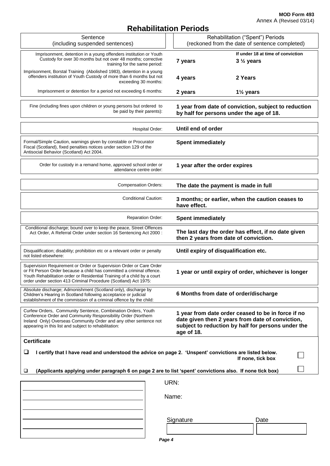**MOD Form 493** Annex A (Revised 03/14)

### **Rehabilitation Periods**

|                                                                                                                                                                                                                                                                                             | REIIADIIIIAUUII FEIIUUS                                                                                                                                                    |
|---------------------------------------------------------------------------------------------------------------------------------------------------------------------------------------------------------------------------------------------------------------------------------------------|----------------------------------------------------------------------------------------------------------------------------------------------------------------------------|
| Sentence<br>(including suspended sentences)                                                                                                                                                                                                                                                 | Rehabilitation ("Spent") Periods<br>(reckoned from the date of sentence completed)                                                                                         |
| Imprisonment, detention in a young offenders institution or Youth<br>Custody for over 30 months but not over 48 months; corrective<br>training for the same period:                                                                                                                         | If under 18 at time of conviction<br>$3\frac{1}{2}$ years<br>7 years                                                                                                       |
| Imprisonment, Borstal Training (Abolished 1983), detention in a young<br>offenders institution of Youth Custody of more than 6 months but not<br>exceeding 30 months:                                                                                                                       | 2 Years<br>4 years                                                                                                                                                         |
| Imprisonment or detention for a period not exceeding 6 months:                                                                                                                                                                                                                              | 2 years<br>$1\frac{1}{2}$ years                                                                                                                                            |
| Fine (including fines upon children or young persons but ordered to<br>be paid by their parents):                                                                                                                                                                                           | 1 year from date of conviction, subject to reduction<br>by half for persons under the age of 18.                                                                           |
| Hospital Order:                                                                                                                                                                                                                                                                             | Until end of order                                                                                                                                                         |
| Formal/Simple Caution, warnings given by constable or Procurator<br>Fiscal (Scotland), fixed penalties notices under section 129 of the<br>Antisocial Behavior (Scotland) Act 2004.                                                                                                         | <b>Spent immediately</b>                                                                                                                                                   |
| Order for custody in a remand home, approved school order or<br>attendance centre order:                                                                                                                                                                                                    | 1 year after the order expires                                                                                                                                             |
| <b>Compensation Orders:</b>                                                                                                                                                                                                                                                                 | The date the payment is made in full                                                                                                                                       |
| Conditional Caution:                                                                                                                                                                                                                                                                        | 3 months; or earlier, when the caution ceases to<br>have effect.                                                                                                           |
| <b>Reparation Order:</b>                                                                                                                                                                                                                                                                    | <b>Spent immediately</b>                                                                                                                                                   |
| Conditional discharge; bound over to keep the peace, Street Offences<br>Act Order, A Referral Order under section 16 Sentencing Act 2000:                                                                                                                                                   | The last day the order has effect, if no date given<br>then 2 years from date of conviction.                                                                               |
| Disqualification; disability; prohibition etc or a relevant order or penalty<br>not listed elsewhere:                                                                                                                                                                                       | Until expiry of disqualification etc.                                                                                                                                      |
| Supervision Requirement or Order or Supervision Order or Care Order<br>or Fit Person Order because a child has committed a criminal offence.<br>Youth Rehabilitation order or Residential Training of a child by a court<br>order under section 413 Criminal Procedure (Scotland) Act 1975: | 1 year or until expiry of order, whichever is longer                                                                                                                       |
| Absolute discharge; Admonishment (Scotland only), discharge by<br>Children's Hearing in Scotland following acceptance or judicial<br>establishment of the commission of a criminal offence by the child:                                                                                    | 6 Months from date of order/discharge                                                                                                                                      |
| Curfew Orders, Community Sentence, Combination Orders, Youth<br>Conference Order and Community Responsibility Order (Northern<br>Ireland Only) Overseas Community Order and any other sentence not<br>appearing in this list and subject to rehabilitation:                                 | 1 year from date order ceased to be in force if no<br>date given then 2 years from date of conviction,<br>subject to reduction by half for persons under the<br>age of 18. |
| <b>Certificate</b>                                                                                                                                                                                                                                                                          |                                                                                                                                                                            |
| $\Box$<br>I certify that I have read and understood the advice on page 2. 'Unspent' convictions are listed below.<br>If none, tick box                                                                                                                                                      |                                                                                                                                                                            |
| (Applicants applying under paragraph 6 on page 2 are to list 'spent' convictions also. If none tick box)<br>⊔                                                                                                                                                                               |                                                                                                                                                                            |
| URN:                                                                                                                                                                                                                                                                                        |                                                                                                                                                                            |
| Name:                                                                                                                                                                                                                                                                                       |                                                                                                                                                                            |
|                                                                                                                                                                                                                                                                                             | Signature<br>Date                                                                                                                                                          |
| Page 4                                                                                                                                                                                                                                                                                      |                                                                                                                                                                            |